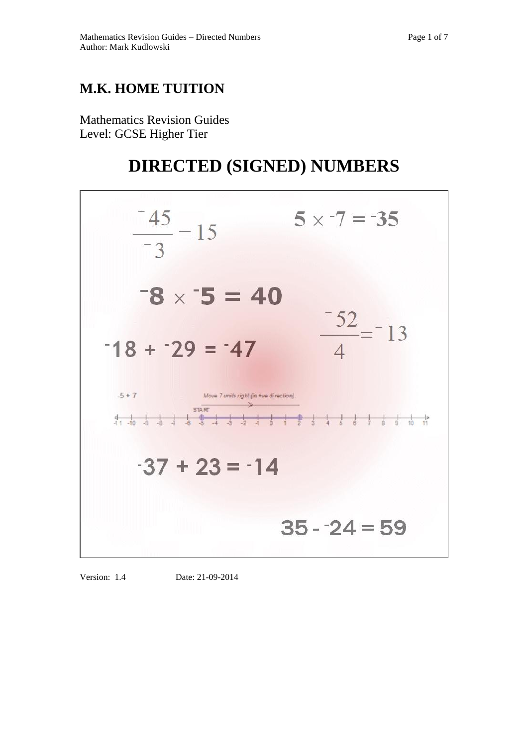## **M.K. HOME TUITION**

Mathematics Revision Guides Level: GCSE Higher Tier

# **DIRECTED (SIGNED) NUMBERS**



Version: 1.4 Date: 21-09-2014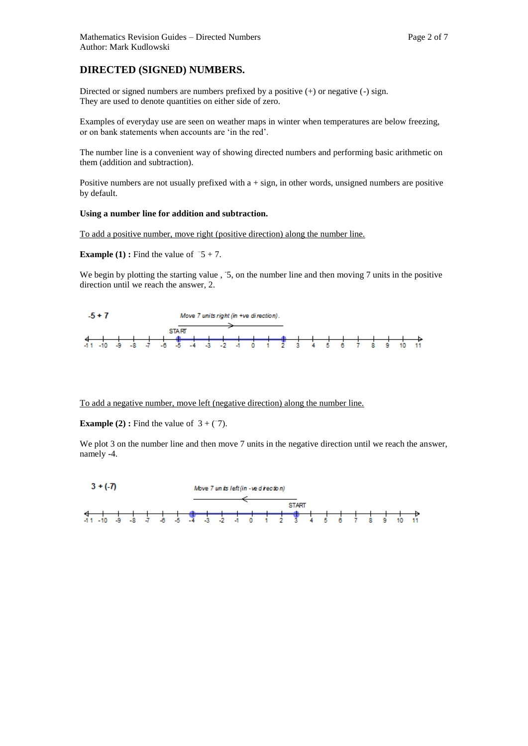### **DIRECTED (SIGNED) NUMBERS.**

Directed or signed numbers are numbers prefixed by a positive (+) or negative (-) sign. They are used to denote quantities on either side of zero.

Examples of everyday use are seen on weather maps in winter when temperatures are below freezing, or on bank statements when accounts are 'in the red'.

The number line is a convenient way of showing directed numbers and performing basic arithmetic on them (addition and subtraction).

Positive numbers are not usually prefixed with  $a + sign$ , in other words, unsigned numbers are positive by default.

#### **Using a number line for addition and subtraction.**

To add a positive number, move right (positive direction) along the number line.

**Example (1)**: Find the value of  $\overline{-5} + 7$ .

We begin by plotting the starting value , 5, on the number line and then moving 7 units in the positive direction until we reach the answer, 2.



To add a negative number, move left (negative direction) along the number line.

**Example (2):** Find the value of  $3 + (7)$ .

We plot 3 on the number line and then move 7 units in the negative direction until we reach the answer, namely -4.

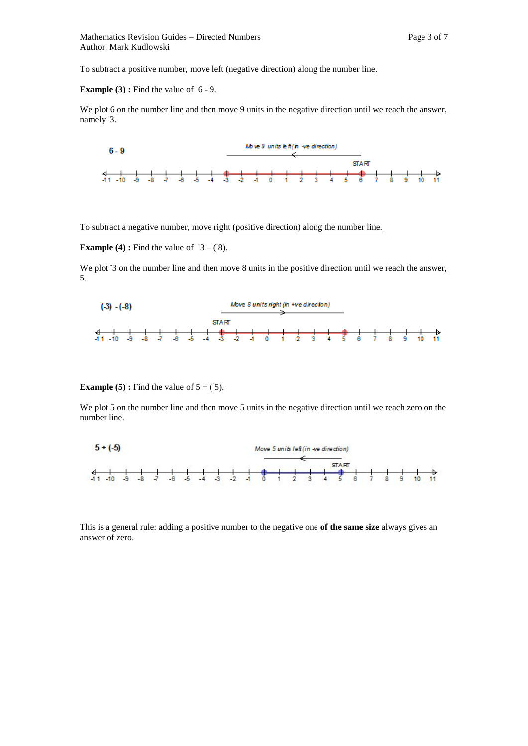To subtract a positive number, move left (negative direction) along the number line.

#### **Example (3) :** Find the value of  $6 - 9$ .

We plot 6 on the number line and then move 9 units in the negative direction until we reach the answer, namely 3.



To subtract a negative number, move right (positive direction) along the number line.

**Example (4):** Find the value of  $\overline{3} - (\overline{8})$ .

We plot 3 on the number line and then move 8 units in the positive direction until we reach the answer, 5.



#### **Example (5)**: Find the value of  $5 + (5)$ .

We plot 5 on the number line and then move 5 units in the negative direction until we reach zero on the number line.



This is a general rule: adding a positive number to the negative one **of the same size** always gives an answer of zero.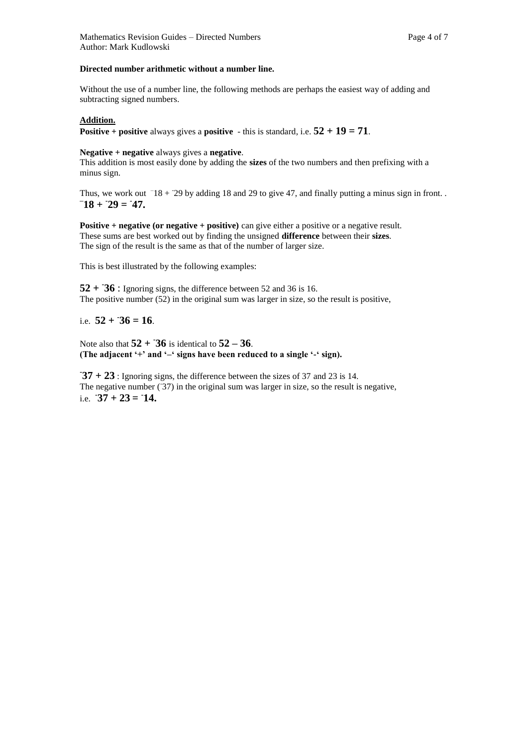#### **Directed number arithmetic without a number line.**

Without the use of a number line, the following methods are perhaps the easiest way of adding and subtracting signed numbers.

#### **Addition.**

**Positive + positive** always gives a **positive** - this is standard, i.e.  $52 + 19 = 71$ .

**Negative + negative** always gives a **negative**.

This addition is most easily done by adding the **sizes** of the two numbers and then prefixing with a minus sign.

Thus, we work out  $-18 + 29$  by adding 18 and 29 to give 47, and finally putting a minus sign in front...  $-18 + 29 = 47.$ 

**Positive + negative (or negative + positive)** can give either a positive or a negative result. These sums are best worked out by finding the unsigned **difference** between their **sizes**. The sign of the result is the same as that of the number of larger size.

This is best illustrated by the following examples:

 $52 + 36$ : Ignoring signs, the difference between 52 and 36 is 16. The positive number (52) in the original sum was larger in size, so the result is positive,

i.e.  $52 + 36 = 16$ .

Note also that  $52 + 36$  is identical to  $52 - 36$ . **(The adjacent '+' and '–' signs have been reduced to a single '-' sign).**

**- 37 + 23** : Ignoring signs, the difference between the sizes of 37 and 23 is 14. The negative number  $(37)$  in the original sum was larger in size, so the result is negative, i.e.  $\overline{37} + 23 = 14$ .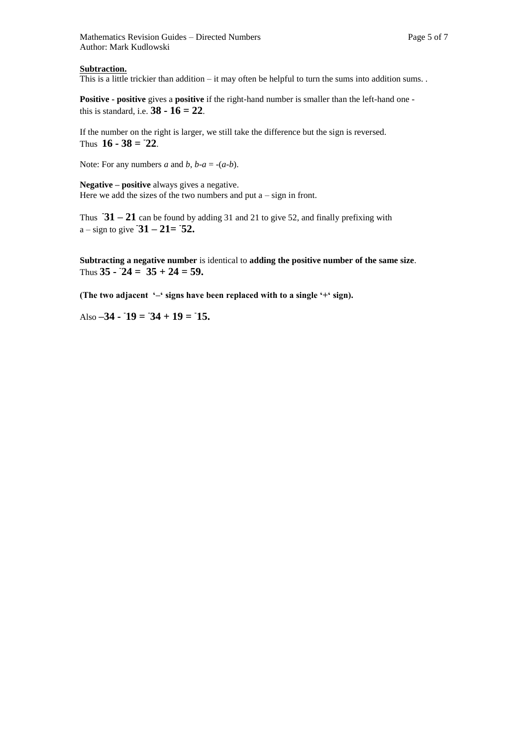#### **Subtraction.**

This is a little trickier than addition – it may often be helpful to turn the sums into addition sums. .

**Positive - positive** gives a **positive** if the right-hand number is smaller than the left-hand one this is standard, i.e. **38 - 16 = 22**.

If the number on the right is larger, we still take the difference but the sign is reversed. Thus  $16 - 38 = 22$ .

Note: For any numbers *a* and *b*, *b*- $a = -(a-b)$ .

**Negative – positive** always gives a negative. Here we add the sizes of the two numbers and put  $a - sign$  in front.

Thus  $-31 - 21$  can be found by adding 31 and 21 to give 52, and finally prefixing with a – sign to give  $\overline{31} - 21 = \overline{52}$ .

**Subtracting a negative number** is identical to **adding the positive number of the same size**. Thus  $35 - 24 = 35 + 24 = 59$ .

**(The two adjacent '–' signs have been replaced with to a single '+' sign).**

Also  $-34 - 19 = 34 + 19 = 15$ .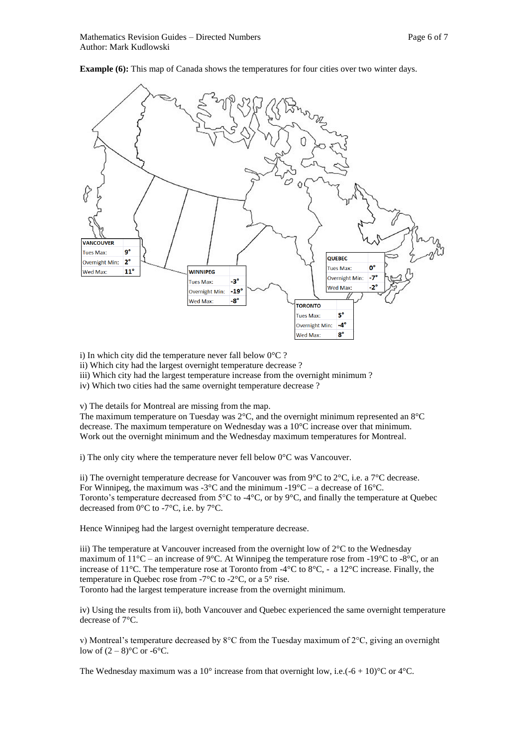

**Example (6):** This map of Canada shows the temperatures for four cities over two winter days.

i) In which city did the temperature never fall below  $0^{\circ}$ C ?

ii) Which city had the largest overnight temperature decrease ?

iii) Which city had the largest temperature increase from the overnight minimum ?

iv) Which two cities had the same overnight temperature decrease ?

v) The details for Montreal are missing from the map.

The maximum temperature on Tuesday was 2°C, and the overnight minimum represented an 8°C decrease. The maximum temperature on Wednesday was a 10°C increase over that minimum. Work out the overnight minimum and the Wednesday maximum temperatures for Montreal.

i) The only city where the temperature never fell below 0°C was Vancouver.

ii) The overnight temperature decrease for Vancouver was from 9 $\degree$ C to 2 $\degree$ C, i.e. a 7 $\degree$ C decrease. For Winnipeg, the maximum was  $-3^{\circ}$ C and the minimum  $-19^{\circ}$ C – a decrease of 16<sup>°</sup>C. Toronto's temperature decreased from 5°C to -4°C, or by 9°C, and finally the temperature at Quebec decreased from 0°C to -7°C, i.e. by 7°C.

Hence Winnipeg had the largest overnight temperature decrease.

iii) The temperature at Vancouver increased from the overnight low of 2°C to the Wednesday maximum of  $11^{\circ}$ C – an increase of 9°C. At Winnipeg the temperature rose from -19°C to -8°C, or an increase of 11°C. The temperature rose at Toronto from -4°C to 8°C, - a 12°C increase. Finally, the temperature in Quebec rose from -7°C to -2°C, or a 5° rise. Toronto had the largest temperature increase from the overnight minimum.

iv) Using the results from ii), both Vancouver and Quebec experienced the same overnight temperature decrease of 7°C.

v) Montreal's temperature decreased by 8°C from the Tuesday maximum of 2°C, giving an overnight low of  $(2-8)$ °C or -6°C.

The Wednesday maximum was a 10° increase from that overnight low, i.e.( $-6 + 10$ )°C or 4°C.